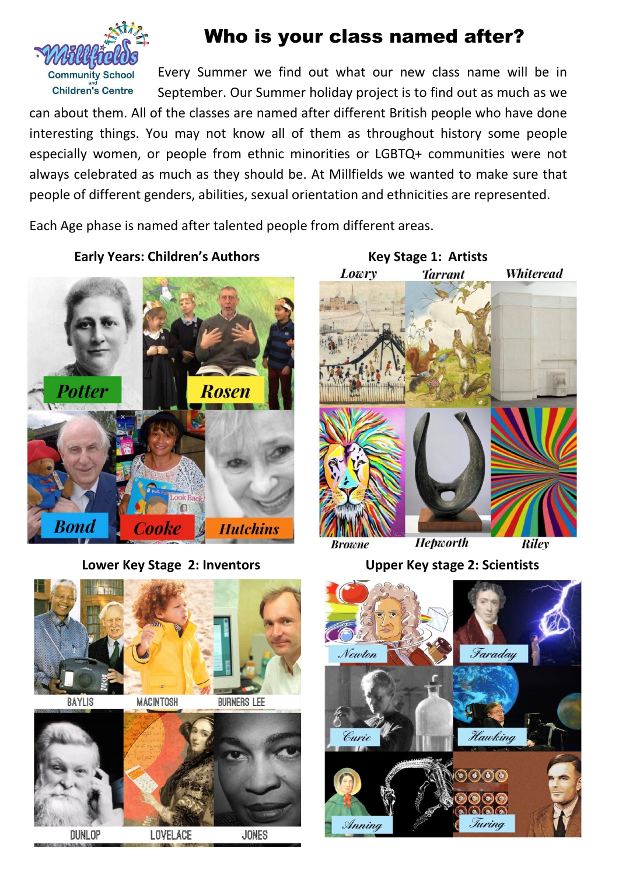

# Who is your class named after?

Every Summer we find out what our new class name will be in Children's Centre September. Our Summer holiday project is to find out as much as we can about them. All of the classes are named after different British people who have done interesting things. You may not know all of them as throughout history some people especially women, or people from ethnic minorities or LGBTQ+ communities were not always celebrated as much as they should be. At Millfields we wanted to make sure that people of different genders, abilities, sexual orientation and ethnicities are represented.

Each Age phase is named after talented people from different areas.

**Early Years: Children's Authors Key Stage 1: Artists** 



 **Lower Key Stage 2: Inventors Upper Key stage 2: Scientists**



**Browne** 

**Hepworth** 

**Rilev** 



**DUNLOP** 

**LOVELACE** 

**JONES**